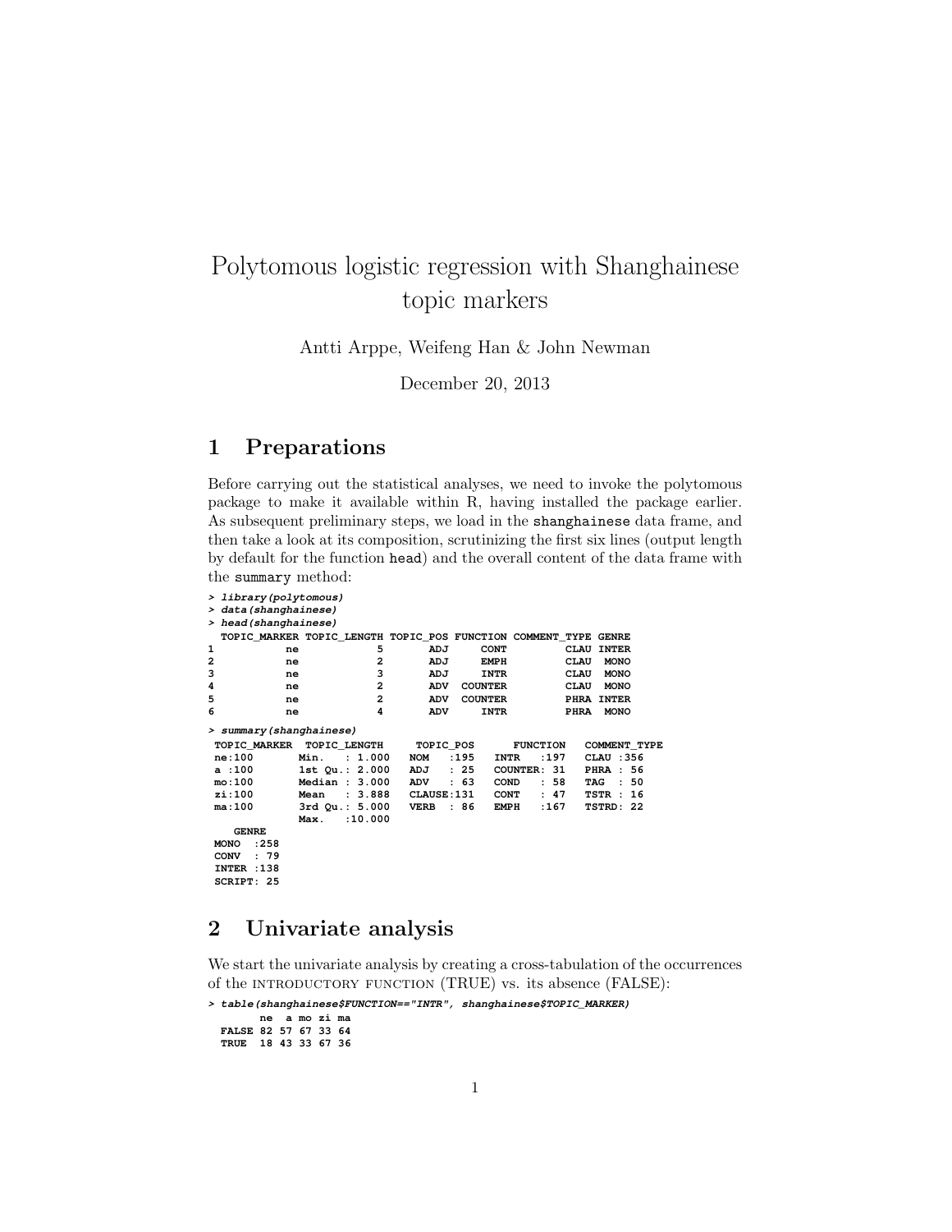# Polytomous logistic regression with Shanghainese topic markers

Antti Arppe, Weifeng Han & John Newman

December 20, 2013

## 1 Preparations

Before carrying out the statistical analyses, we need to invoke the polytomous package to make it available within R, having installed the package earlier. As subsequent preliminary steps, we load in the shanghainese data frame, and then take a look at its composition, scrutinizing the first six lines (output length by default for the function head) and the overall content of the data frame with the summary method:

|   | > library (polytomous)                                                                                                                       |                                                                                                                               |                                                                    |                                                                    |                                                                              |                                                                                                  |
|---|----------------------------------------------------------------------------------------------------------------------------------------------|-------------------------------------------------------------------------------------------------------------------------------|--------------------------------------------------------------------|--------------------------------------------------------------------|------------------------------------------------------------------------------|--------------------------------------------------------------------------------------------------|
|   | > data(shanghainese)                                                                                                                         |                                                                                                                               |                                                                    |                                                                    |                                                                              |                                                                                                  |
|   | > head(shanghainese)                                                                                                                         |                                                                                                                               |                                                                    |                                                                    |                                                                              |                                                                                                  |
|   |                                                                                                                                              | TOPIC MARKER TOPIC LENGTH TOPIC POS FUNCTION COMMENT TYPE GENRE                                                               |                                                                    |                                                                    |                                                                              |                                                                                                  |
| 1 | ne                                                                                                                                           | 5                                                                                                                             | ADJ                                                                | <b>CONT</b>                                                        |                                                                              | CLAU INTER                                                                                       |
| 2 | ne                                                                                                                                           | 2                                                                                                                             | ADJ                                                                | <b>EMPH</b>                                                        | CLAU                                                                         | <b>MONO</b>                                                                                      |
| з | ne                                                                                                                                           | 3                                                                                                                             | ADJ                                                                | <b>INTR</b>                                                        | CLAU                                                                         | <b>MONO</b>                                                                                      |
| 4 | ne                                                                                                                                           | $\overline{\mathbf{2}}$                                                                                                       | ADV                                                                | <b>COUNTER</b>                                                     | CLAU                                                                         | <b>MONO</b>                                                                                      |
| 5 | ne                                                                                                                                           | $\mathbf{2}$                                                                                                                  | ADV                                                                | <b>COUNTER</b>                                                     |                                                                              | PHRA INTER                                                                                       |
| 6 | ne                                                                                                                                           | 4                                                                                                                             | ADV                                                                | <b>INTR</b>                                                        | <b>PHRA</b>                                                                  | <b>MONO</b>                                                                                      |
|   | > summary (shanghainese)<br><b>TOPIC MARKER</b><br>ne:100<br>a :100<br>mo:100<br>$z_i$ :100<br>ma:100<br><b>GENRE</b><br><b>MONO</b><br>:258 | TOPIC LENGTH<br>: 1.000<br>Min.<br>1st Qu.: 2.000<br>Median $: 3.000$<br>: 3.888<br>Mean<br>3rd Qu.: 5.000<br>:10.000<br>Max. | TOPIC POS<br><b>NOM</b><br>ADJ<br>ADV<br>CLAUSE:131<br><b>VERB</b> | :195<br><b>INTR</b><br>: 25<br>: 63<br>COND<br>: 86<br><b>EMPH</b> | <b>FUNCTION</b><br>:197<br>COUNTER: 31<br>:58<br>: 47<br><b>CONT</b><br>:167 | <b>COMMENT TYPE</b><br>CLAU : 356<br><b>PHRA : 56</b><br>: 50<br>TAG<br>TSTR:<br>16<br>TSTRD: 22 |
|   | : 79<br><b>CONV</b><br><b>INTER : 138</b><br>SCRIPT: 25                                                                                      |                                                                                                                               |                                                                    |                                                                    |                                                                              |                                                                                                  |

# 2 Univariate analysis

We start the univariate analysis by creating a cross-tabulation of the occurrences of the introductory function (TRUE) vs. its absence (FALSE):

```
> table(shanghainese$FUNCTION=="INTR", shanghainese$TOPIC_MARKER)
  ne a mo zi ma
FALSE 82 57 67 33 64
  TRUE 18 43 33 67 36
```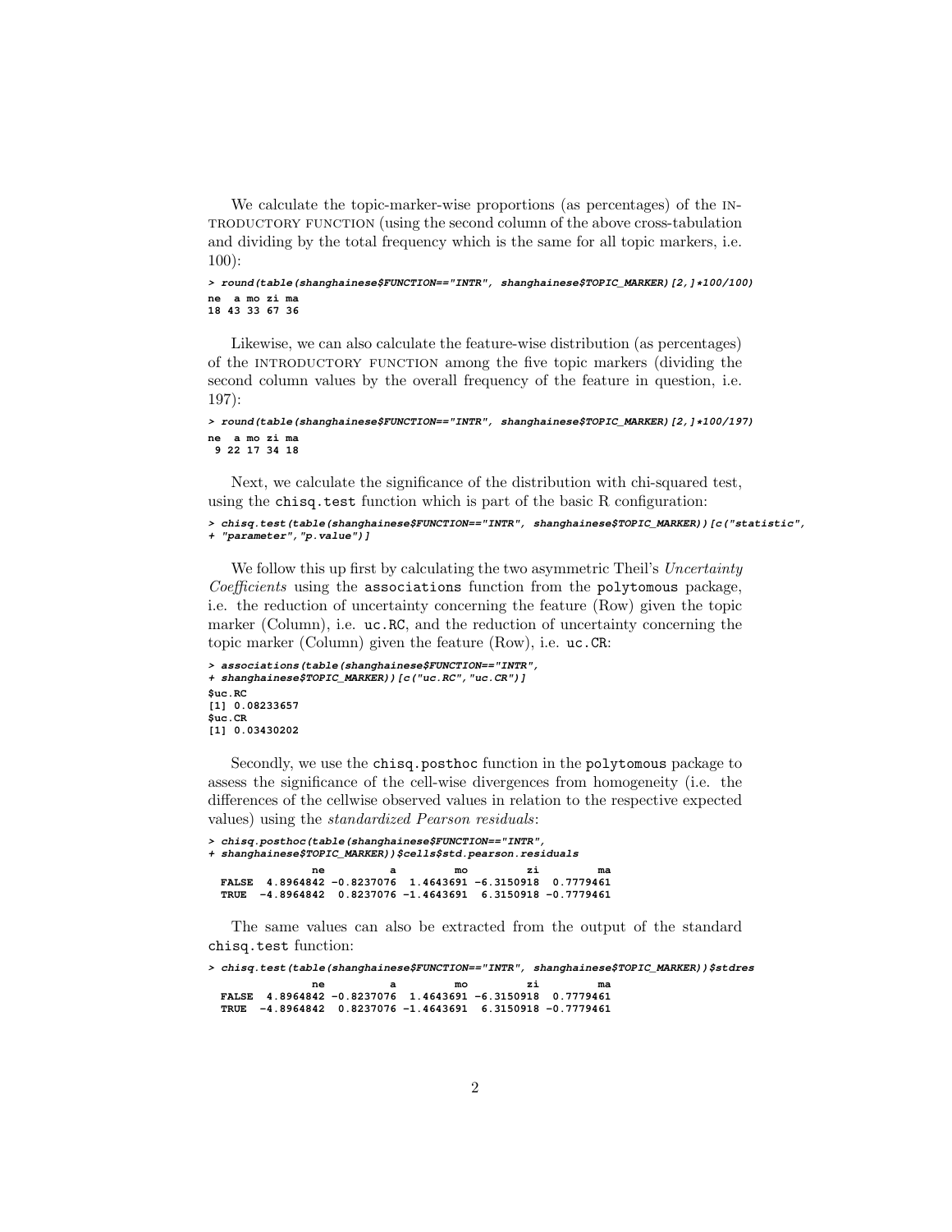We calculate the topic-marker-wise proportions (as percentages) of the introductory function (using the second column of the above cross-tabulation and dividing by the total frequency which is the same for all topic markers, i.e. 100):

```
> round(table(shanghainese$FUNCTION=="INTR", shanghainese$TOPIC_MARKER)[2,]*100/100)
ne a mo zi ma
```

```
18 43 33 67 36
```
Likewise, we can also calculate the feature-wise distribution (as percentages) of the introductory function among the five topic markers (dividing the second column values by the overall frequency of the feature in question, i.e. 197):

```
> round(table(shanghainese$FUNCTION=="INTR", shanghainese$TOPIC_MARKER)[2,]*100/197)
ne a mo zi ma
9 22 17 34 18
```
Next, we calculate the significance of the distribution with chi-squared test, using the chisq.test function which is part of the basic R configuration:

```
> chisq.test(table(shanghainese$FUNCTION=="INTR", shanghainese$TOPIC_MARKER))[c("statistic",
+ "parameter","p.value")]
```
We follow this up first by calculating the two asymmetric Theil's Uncertainty Coefficients using the associations function from the polytomous package, i.e. the reduction of uncertainty concerning the feature (Row) given the topic marker (Column), i.e.  $uc.RC$ , and the reduction of uncertainty concerning the topic marker (Column) given the feature (Row), i.e. uc.CR:

```
> associations(table(shanghainese$FUNCTION=="INTR",
+ shanghainese$TOPIC_MARKER))[c("uc.RC","uc.CR")]
$uc.RC
[1] 0.08233657
$uc.CR
[1] 0.03430202
```
Secondly, we use the chisq.posthoc function in the polytomous package to assess the significance of the cell-wise divergences from homogeneity (i.e. the differences of the cellwise observed values in relation to the respective expected values) using the standardized Pearson residuals:

```
> chisq.posthoc(table(shanghainese$FUNCTION=="INTR",
+ shanghainese$TOPIC_MARKER))$cells$std.pearson.residuals
  ne a mo zi ma
FALSE 4.8964842 -0.8237076 1.4643691 -6.3150918 0.7779461
 TRUE -4.8964842 0.8237076 -1.4643691 6.3150918 -0.7779461
```
The same values can also be extracted from the output of the standard chisq.test function:

**> chisq.test(table(shanghainese\$FUNCTION=="INTR", shanghainese\$TOPIC\_MARKER))\$stdres**

```
ne a mo zi ma
FALSE 4.8964842 -0.8237076 1.4643691 -6.3150918 0.7779461
TRUE -4.8964842 0.8237076 -1.4643691 6.3150918 -0.7779461
```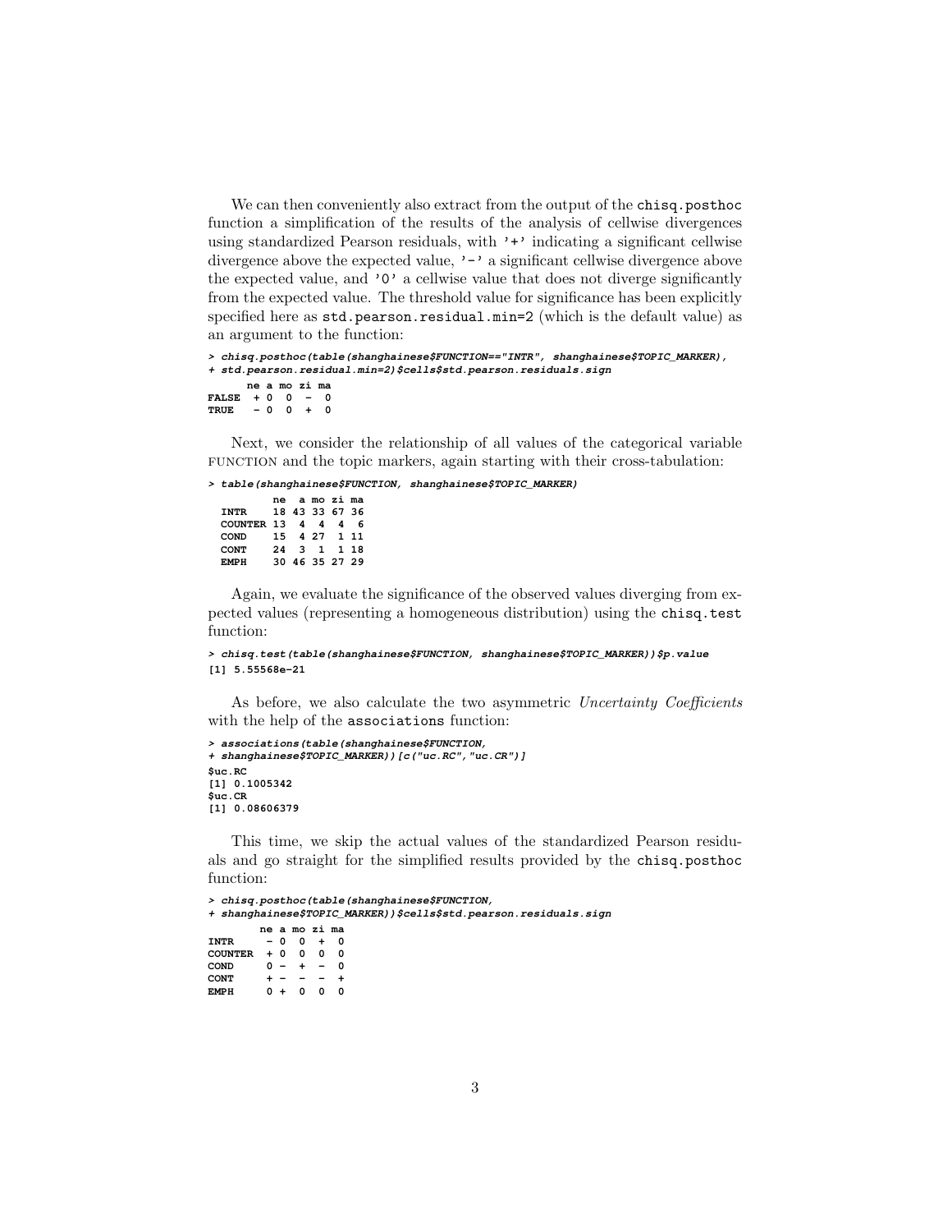We can then conveniently also extract from the output of the chisq.posthoc function a simplification of the results of the analysis of cellwise divergences using standardized Pearson residuals, with  $\cdot$   $\cdot$  indicating a significant cellwise divergence above the expected value, '-' a significant cellwise divergence above the expected value, and  $'0'$  a cellwise value that does not diverge significantly from the expected value. The threshold value for significance has been explicitly specified here as std.pearson.residual.min=2 (which is the default value) as an argument to the function:

```
> chisq.posthoc(table(shanghainese$FUNCTION=="INTR", shanghainese$TOPIC_MARKER),
+ std.pearson.residual.min=2)$cells$std.pearson.residuals.sign
     ne a mo zi ma
FALSE + 0 0 - 0
TRUE - 0 0 + 0
```
Next, we consider the relationship of all values of the categorical variable FUNCTION and the topic markers, again starting with their cross-tabulation:

```
> table(shanghainese$FUNCTION, shanghainese$TOPIC_MARKER)
```

```
ne a mo zi ma
INTR 18 43 33 67 36
COUNTER 13 4 4 4 6
       COND 15 4 27 1 11
CONT 24 3 1 1 18
       EMPH 30 46 35 27 29
```
Again, we evaluate the significance of the observed values diverging from expected values (representing a homogeneous distribution) using the chisq.test function:

```
> chisq.test(table(shanghainese$FUNCTION, shanghainese$TOPIC_MARKER))$p.value
[1] 5.55568e-21
```
As before, we also calculate the two asymmetric Uncertainty Coefficients with the help of the associations function:

```
> associations(table(shanghainese$FUNCTION,
+ shanghainese$TOPIC_MARKER))[c("uc.RC","uc.CR")]
$uc.RC
[1] 0.1005342
$uc.CR
[1] 0.08606379
```
This time, we skip the actual values of the standardized Pearson residuals and go straight for the simplified results provided by the chisq.posthoc function:

```
> chisq.posthoc(table(shanghainese$FUNCTION,
+ shanghainese$TOPIC_MARKER))$cells$std.pearson.residuals.sign
       ne a mo zi ma
INTR - 0 0 + 0
COUNTER + 0 0 0 0
       0 - + - 0CONT + - - - +
EMPH 0 + 0 0 0
```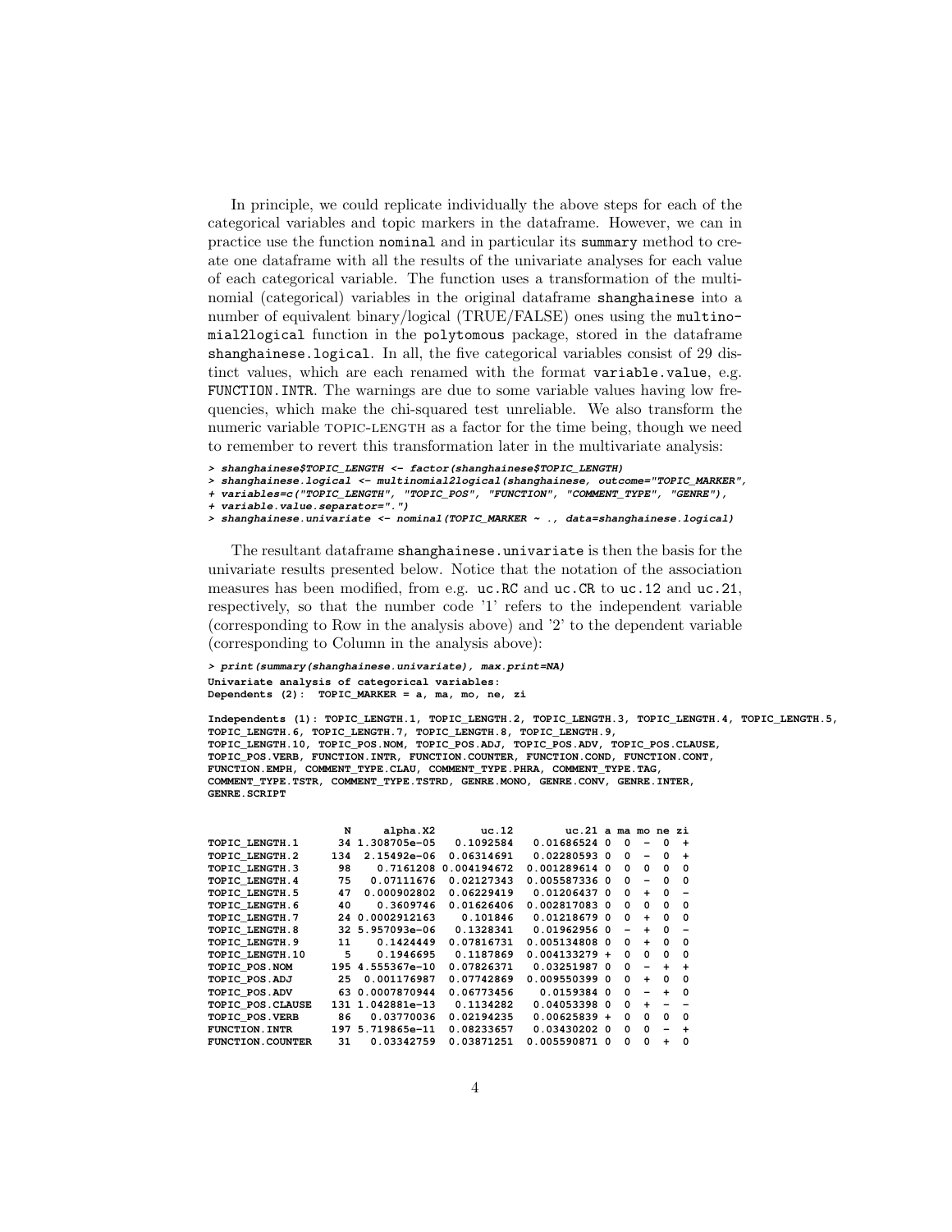In principle, we could replicate individually the above steps for each of the categorical variables and topic markers in the dataframe. However, we can in practice use the function nominal and in particular its summary method to create one dataframe with all the results of the univariate analyses for each value of each categorical variable. The function uses a transformation of the multinomial (categorical) variables in the original dataframe shanghainese into a number of equivalent binary/logical (TRUE/FALSE) ones using the multinomial2logical function in the polytomous package, stored in the dataframe shanghainese.logical. In all, the five categorical variables consist of 29 distinct values, which are each renamed with the format variable.value, e.g. FUNCTION.INTR. The warnings are due to some variable values having low frequencies, which make the chi-squared test unreliable. We also transform the numeric variable TOPIC-LENGTH as a factor for the time being, though we need to remember to revert this transformation later in the multivariate analysis:

```
> shanghainese$TOPIC_LENGTH <- factor(shanghainese$TOPIC_LENGTH)
> shanghainese.logical <- multinomial2logical(shanghainese, outcome="TOPIC_MARKER",
+ variables=c("TOPIC_LENGTH", "TOPIC_POS", "FUNCTION", "COMMENT_TYPE", "GENRE"),
+ variable.value.separator=".")
> shanghainese.univariate <- nominal(TOPIC_MARKER ~ ., data=shanghainese.logical)
```
The resultant dataframe shanghainese.univariate is then the basis for the univariate results presented below. Notice that the notation of the association measures has been modified, from e.g. uc.RC and uc.CR to uc.12 and uc.21, respectively, so that the number code '1' refers to the independent variable (corresponding to Row in the analysis above) and '2' to the dependent variable (corresponding to Column in the analysis above):

```
> print(summary(shanghainese.univariate), max.print=NA)
Univariate analysis of categorical variables:
Dependents (2): TOPIC_MARKER = a, ma, mo, ne, zi
```
**Independents (1): TOPIC\_LENGTH.1, TOPIC\_LENGTH.2, TOPIC\_LENGTH.3, TOPIC\_LENGTH.4, TOPIC\_LENGTH.5, TOPIC\_LENGTH.6, TOPIC\_LENGTH.7, TOPIC\_LENGTH.8, TOPIC\_LENGTH.9, TOPIC\_LENGTH.10, TOPIC\_POS.NOM, TOPIC\_POS.ADJ, TOPIC\_POS.ADV, TOPIC\_POS.CLAUSE, TOPIC\_POS.VERB, FUNCTION.INTR, FUNCTION.COUNTER, FUNCTION.COND, FUNCTION.CONT, FUNCTION.EMPH, COMMENT\_TYPE.CLAU, COMMENT\_TYPE.PHRA, COMMENT\_TYPE.TAG, COMMENT\_TYPE.TSTR, COMMENT\_TYPE.TSTRD, GENRE.MONO, GENRE.CONV, GENRE.INTER, GENRE.SCRIPT**

|                         | N   | alpha.X2           | uc.12                 | $uc.21$ a ma mo ne zi |                   |                          |           |                 |
|-------------------------|-----|--------------------|-----------------------|-----------------------|-------------------|--------------------------|-----------|-----------------|
| TOPIC_LENGTH.1          |     | 34 1.308705e-05    | 0.1092584             | 0.016865240           | $^{\circ}$        | $\overline{\phantom{a}}$ | $\Omega$  | $\ddot{}$       |
| TOPIC LENGTH.2          | 134 | 2.15492e-06        | 0.06314691            | 0.022805930           | 0                 | $\overline{\phantom{a}}$ | $\Omega$  | $\ddot{}$       |
| TOPIC LENGTH.3          | 98  |                    | 0.7161208 0.004194672 | 0.001289614 0         | 0                 | 0                        | 0         | 0               |
| TOPIC LENGTH.4          | 75  | 0.07111676         | 0.02127343            | 0.005587336 0         | 0                 | -                        | 0         | 0               |
| TOPIC LENGTH.5          | 47  | 0.000902802        | 0.06229419            | 0.01206437 0          | 0                 | $\ddot{}$                | 0         | $\qquad \qquad$ |
| TOPIC LENGTH.6          | 40  | 0.3609746          | 0.01626406            | 0.002817083 0         | 0                 | 0                        | 0         | $\Omega$        |
| TOPIC LENGTH.7          |     | 24 0.0002912163    | 0.101846              | 0.01218679 0          | 0                 | $\ddot{}$                | $\Omega$  | 0               |
| <b>TOPIC LENGTH.8</b>   |     | 32 5.957093e-06    | 0.1328341             | 0.01962956 0          | $\qquad \qquad -$ |                          | $\Omega$  |                 |
| TOPIC LENGTH.9          | 11  | 0.1424449          | 0.07816731            | 0.005134808 0         | 0                 | $\ddot{}$                | 0         | $\Omega$        |
| TOPIC LENGTH.10         |     | $5 -$<br>0.1946695 | 0.1187869             | $0.004133279 +$       | 0                 | 0                        | 0         | $\Omega$        |
| TOPIC POS.NOM           |     | 195 4.555367e-10   | 0.07826371            | 0.03251987 0          | 0                 | -                        | $\ddot{}$ | $\ddot{}$       |
| TOPIC POS.ADJ           | 25  | 0.001176987        | 0.07742869            | 0.009550399 0         | 0                 | $\ddot{}$                | 0         | $\Omega$        |
| TOPIC POS.ADV           |     | 63 0.0007870944    | 0.06773456            | 0.01593840            | 0                 | $\overline{\phantom{a}}$ | $\ddot{}$ | $\Omega$        |
| TOPIC POS.CLAUSE        |     | 131 1.042881e-13   | 0.1134282             | 0.04053398 0          | 0                 | $\ddot{}$                |           |                 |
| <b>TOPIC POS.VERB</b>   | 86  | 0.03770036         | 0.02194235            | $0.00625839 +$        | <sup>0</sup>      | <sup>0</sup>             | $\Omega$  | $\Omega$        |
| <b>FUNCTION.INTR</b>    |     | 197 5.719865e-11   | 0.08233657            | 0.034302020           | 0                 | 0                        |           | $+$             |
| <b>FUNCTION.COUNTER</b> | 31  | 0.03342759         | 0.03871251            | 0.005590871 0         | <sup>0</sup>      | <sup>0</sup>             | $\ddot{}$ | 0               |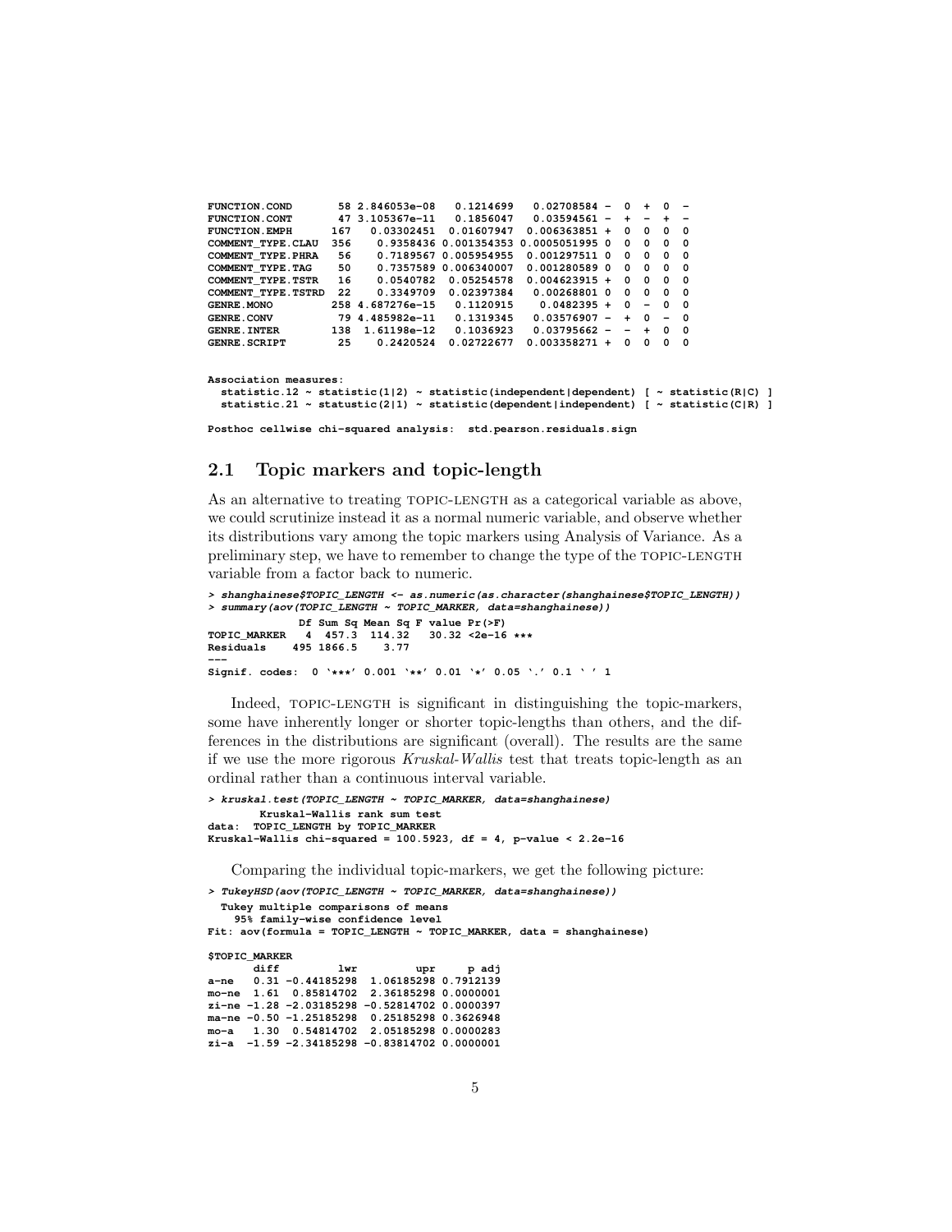| <b>FUNCTION.COND</b>           |     | 58 2.846053e-08              | 0.1214699             | $0.02708584 - 0 + 0 -$                                                                |  |            |  |
|--------------------------------|-----|------------------------------|-----------------------|---------------------------------------------------------------------------------------|--|------------|--|
| <b>FUNCTION.CONT</b>           |     |                              |                       |                                                                                       |  |            |  |
| <b>FUNCTION.EMPH</b>           | 167 | 0.03302451                   | 0.01607947            | $0.006363851 + 0 0$                                                                   |  | $0\quad 0$ |  |
|                                |     |                              |                       | COMMENT TYPE.CLAU 356 0.9358436 0.001354353 0.0005051995 0 0 0                        |  | $0\quad 0$ |  |
| COMMENT TYPE.PHRA              | 56  |                              | 0.7189567 0.005954955 | 0.00129751100000                                                                      |  |            |  |
| COMMENT TYPE.TAG               |     | 50   0.7357589   0.006340007 |                       | 0.001280589 0 0 0                                                                     |  | $0\quad 0$ |  |
| COMMENT TYPE.TSTR 16 0.0540782 |     |                              | 0.05254578            | $0.004623915 + 0 0$                                                                   |  | $0\quad 0$ |  |
| COMMENT TYPE.TSTRD             | 22  |                              | 0.3349709 0.02397384  | 0.00268801000                                                                         |  | $0\quad 0$ |  |
| <b>GENRE MONO</b>              |     |                              |                       | 258 4.687276e-15  0.1120915  0.0482395 + 0 - 0 0                                      |  |            |  |
| <b>GENRE.CONV</b>              |     |                              |                       | $79$ 4.485982e-11 0.1319345 0.03576907 - + 0                                          |  | $- 0$      |  |
| <b>GENRE.INTER</b>             |     |                              |                       | $138$ 1.61198e-12 0.1036923 0.03795662 - - + 0 0                                      |  |            |  |
| <b>GENRE.SCRIPT</b>            | 25  | 0.2420524                    | 0.02722677            | $0.003358271 + 0 0$                                                                   |  | $0\quad 0$ |  |
| Association measures:          |     |                              |                       |                                                                                       |  |            |  |
|                                |     |                              |                       | statistic.12 ~ statistic(1 2) ~ statistic(independent dependent) [ ~ statistic(R C) ] |  |            |  |
|                                |     |                              |                       | statistic.21 ~ statustic(2 1) ~ statistic(dependent independent) [ ~ statistic(C R) ] |  |            |  |

**Posthoc cellwise chi-squared analysis: std.pearson.residuals.sign**

### 2.1 Topic markers and topic-length

As an alternative to treating TOPIC-LENGTH as a categorical variable as above, we could scrutinize instead it as a normal numeric variable, and observe whether its distributions vary among the topic markers using Analysis of Variance. As a preliminary step, we have to remember to change the type of the TOPIC-LENGTH variable from a factor back to numeric.

```
> shanghainese$TOPIC_LENGTH <- as.numeric(as.character(shanghainese$TOPIC_LENGTH))
> summary(aov(TOPIC_LENGTH ~ TOPIC_MARKER, data=shanghainese))
             Df Sum Sq Mean Sq F value Pr(>F)
TOPIC_MARKER 4 457.3 114.32 30.32 <2e-16 ***
            Residuals 495 1866.5 3.77
---
Signif. codes: 0 '***' 0.001 '**' 0.01 '*' 0.05 '.' 0.1 ' ' 1
```
Indeed, TOPIC-LENGTH is significant in distinguishing the topic-markers, some have inherently longer or shorter topic-lengths than others, and the differences in the distributions are significant (overall). The results are the same if we use the more rigorous Kruskal-Wallis test that treats topic-length as an ordinal rather than a continuous interval variable.

```
> kruskal.test(TOPIC_LENGTH ~ TOPIC_MARKER, data=shanghainese)
       Kruskal-Wallis rank sum test
data: TOPIC_LENGTH by TOPIC_MARKER
Kruskal-Wallis chi-squared = 100.5923, df = 4, p-value < 2.2e-16
```
Comparing the individual topic-markers, we get the following picture:

```
> TukeyHSD(aov(TOPIC_LENGTH ~ TOPIC_MARKER, data=shanghainese))
```

```
Tukey multiple comparisons of means
    95% family-wise confidence level
Fit: aov(formula = TOPIC_LENGTH ~ TOPIC_MARKER, data = shanghainese)
$TOPIC_MARKER
                   diff lwr upr p adj
      a-ne 0.31 -0.44185298 1.06185298 0.7912139
mo-ne 1.61 0.85814702 2.36185298 0.0000001
zi-ne -1.28 -2.03185298 -0.52814702 0.0000397
ma-ne -0.50 -1.25185298 0.25185298 0.3626948
mo-a 1.30 0.54814702 2.05185298 0.0000283
zi-a -1.59 -2.34185298 -0.83814702 0.0000001
```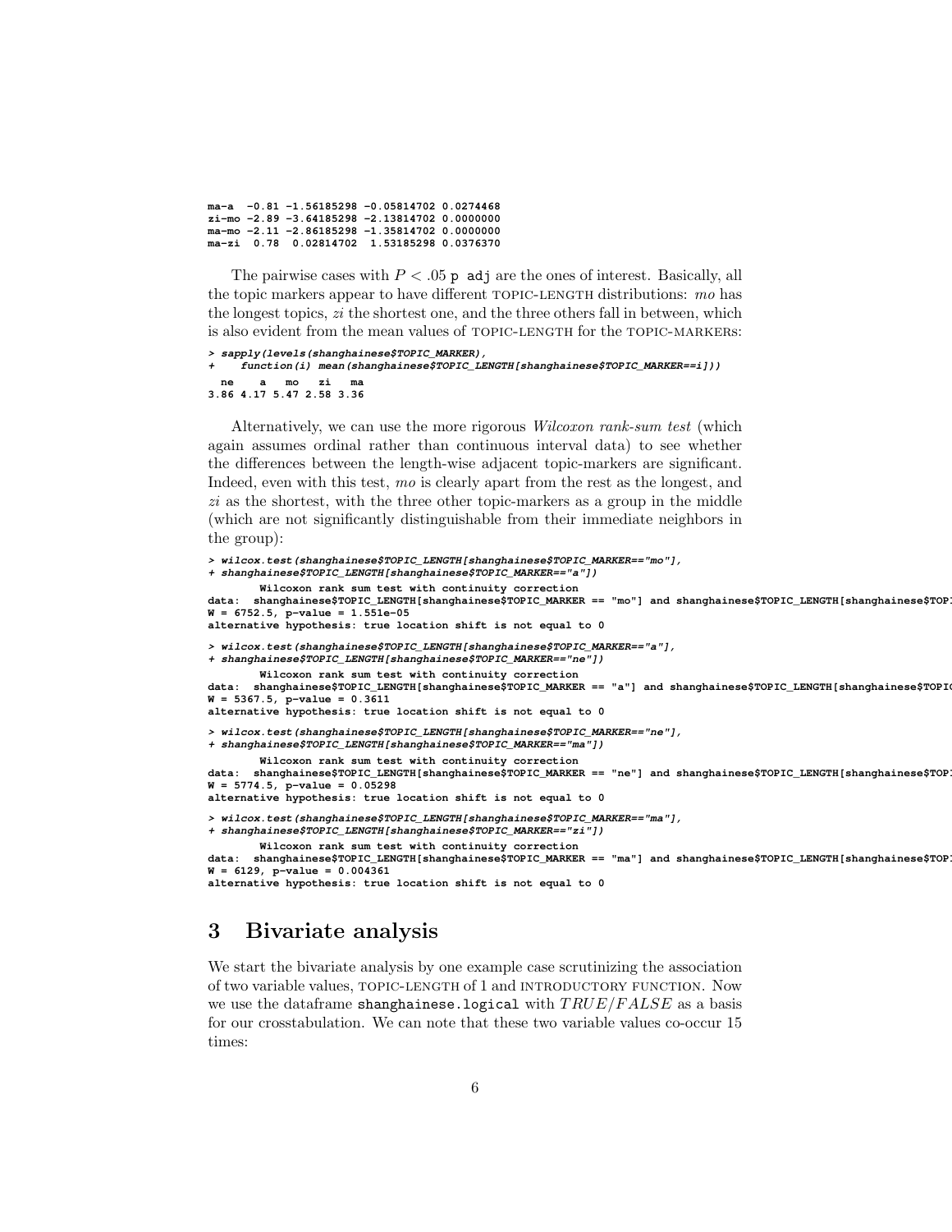**ma-a -0.81 -1.56185298 -0.05814702 0.0274468 zi-mo -2.89 -3.64185298 -2.13814702 0.0000000 ma-mo -2.11 -2.86185298 -1.35814702 0.0000000 ma-zi 0.78 0.02814702 1.53185298 0.0376370**

The pairwise cases with  $P < .05$  p adj are the ones of interest. Basically, all the topic markers appear to have different TOPIC-LENGTH distributions: mo has the longest topics, zi the shortest one, and the three others fall in between, which is also evident from the mean values of TOPIC-LENGTH for the TOPIC-MARKERS:

```
> sapply(levels(shanghainese$TOPIC_MARKER),
    + function(i) mean(shanghainese$TOPIC_LENGTH[shanghainese$TOPIC_MARKER==i]))
       ne a mo zi ma
3.86 4.17 5.47 2.58 3.36
```
Alternatively, we can use the more rigorous Wilcoxon rank-sum test (which again assumes ordinal rather than continuous interval data) to see whether the differences between the length-wise adjacent topic-markers are significant. Indeed, even with this test, mo is clearly apart from the rest as the longest, and zi as the shortest, with the three other topic-markers as a group in the middle (which are not significantly distinguishable from their immediate neighbors in the group):

```
> wilcox.test(shanghainese$TOPIC_LENGTH[shanghainese$TOPIC_MARKER=="mo"],
+ shanghainese$TOPIC_LENGTH[shanghainese$TOPIC_MARKER=="a"])
        Wilcoxon rank sum test with continuity correction
data: shanghainese$TOPIC_LENGTH[shanghainese$TOPIC_MARKER == "mo"] and shanghainese$TOPIC_LENGTH[shanghainese$TOPIC_MARKER == "a"]
W = 6752.5, p-value = 1.551e-05
alternative hypothesis: true location shift is not equal to 0
> wilcox.test(shanghainese$TOPIC_LENGTH[shanghainese$TOPIC_MARKER=="a"],
+ shanghainese$TOPIC_LENGTH[shanghainese$TOPIC_MARKER=="ne"])
        Wilcoxon rank sum test with continuity correction
data: shanghainese$TOPIC_LENGTH[shanghainese$TOPIC_MARKER == "a"] and shanghainese$TOPIC_LENGTH[shanghainese$TOPIC_MARKER == "ne"]
W = 5367.5, p-value = 0.3611
alternative hypothesis: true location shift is not equal to 0
> wilcox.test(shanghainese$TOPIC_LENGTH[shanghainese$TOPIC_MARKER=="ne"],
+ shanghainese$TOPIC_LENGTH[shanghainese$TOPIC_MARKER=="ma"])
       Wilcoxon rank sum test with continuity correction
data: shanghainese$TOPIC_LENGTH[shanghainese$TOPIC_MARKER == "ne"] and shanghainese$TOPIC_LENGTH[shanghainese$TOPIC_MARKER == "ma"]
W = 5774.5, p-value = 0.05298
alternative hypothesis: true location shift is not equal to 0
> wilcox.test(shanghainese$TOPIC_LENGTH[shanghainese$TOPIC_MARKER=="ma"],
+ shanghainese$TOPIC_LENGTH[shanghainese$TOPIC_MARKER=="zi"])
        Wilcoxon rank sum test with continuity correction
data: shanghainese$TOPIC_LENGTH[shanghainese$TOPIC_MARKER == "ma"] and shanghainese$TOPIC_LENGTH[shanghainese$TOP
W = 6129, p-value = 0.004361
alternative hypothesis: true location shift is not equal to 0
```
### 3 Bivariate analysis

We start the bivariate analysis by one example case scrutinizing the association of two variable values, topic-length of 1 and introductory function. Now we use the dataframe shanghainese.logical with  $TRUE/FALSE$  as a basis for our crosstabulation. We can note that these two variable values co-occur 15 times: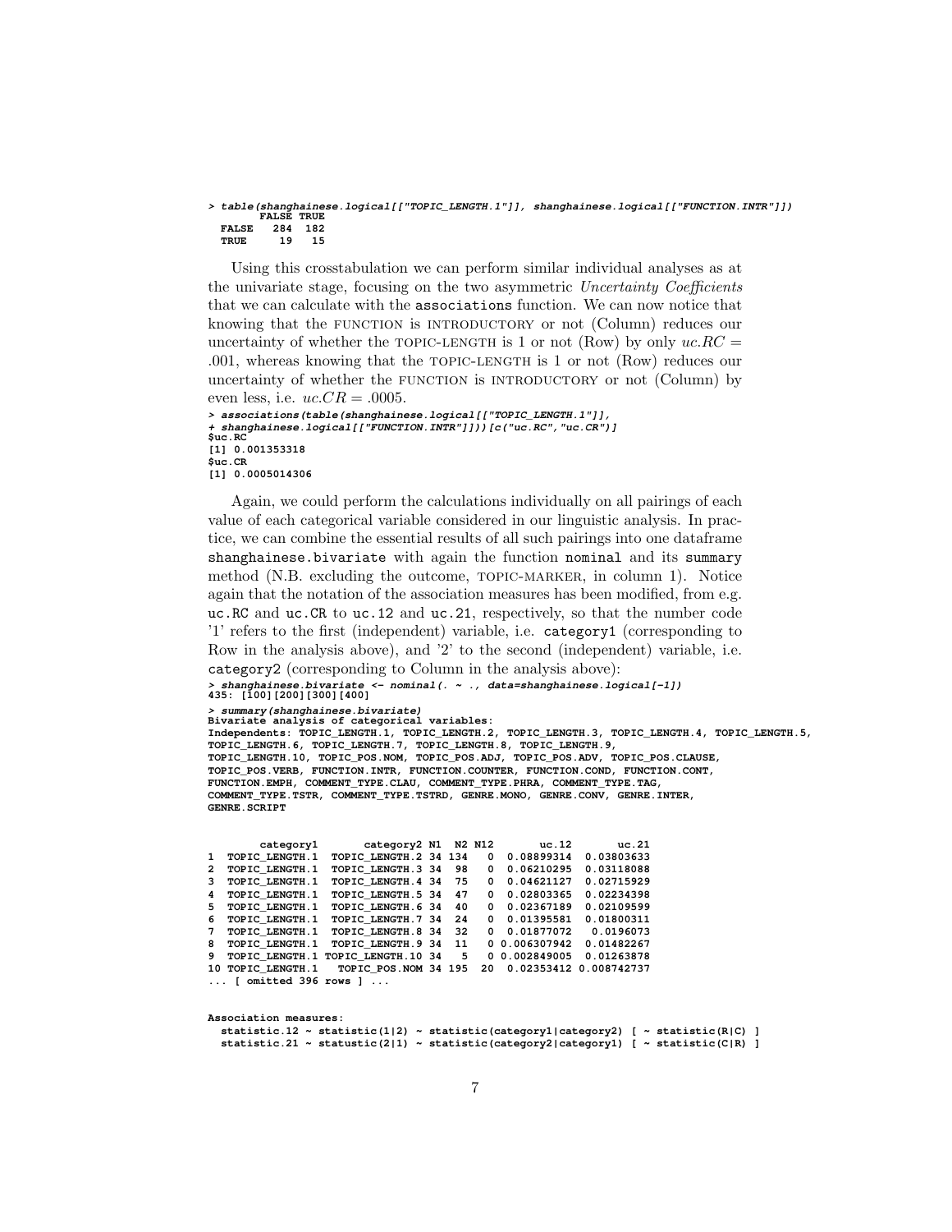```
> table(shanghainese.logical[["TOPIC_LENGTH.1"]], shanghainese.logical[["FUNCTION.INTR"]])
FALSE TRUE
 FALSE 284 182
 TRUE 19 15
```
Using this crosstabulation we can perform similar individual analyses as at the univariate stage, focusing on the two asymmetric Uncertainty Coefficients that we can calculate with the associations function. We can now notice that knowing that the FUNCTION is INTRODUCTORY or not (Column) reduces our uncertainty of whether the TOPIC-LENGTH is 1 or not (Row) by only  $uc.RC =$ .001, whereas knowing that the topic-length is 1 or not (Row) reduces our uncertainty of whether the FUNCTION is INTRODUCTORY or not (Column) by even less, i.e.  $uc.CR = .0005$ .

```
> associations(table(shanghainese.logical[["TOPIC_LENGTH.1"]],
+ shanghainese.logical[["FUNCTION.INTR"]]))[c("uc.RC","uc.CR")]
$uc.RC
[1] 0.001353318
$uc.CR
[1] 0.0005014306
```
Again, we could perform the calculations individually on all pairings of each value of each categorical variable considered in our linguistic analysis. In practice, we can combine the essential results of all such pairings into one dataframe shanghainese.bivariate with again the function nominal and its summary method (N.B. excluding the outcome, TOPIC-MARKER, in column 1). Notice again that the notation of the association measures has been modified, from e.g. uc.RC and uc.CR to uc.12 and uc.21, respectively, so that the number code '1' refers to the first (independent) variable, i.e. category1 (corresponding to Row in the analysis above), and '2' to the second (independent) variable, i.e. category2 (corresponding to Column in the analysis above):

```
> shanghainese.bivariate <- nominal(. ~ ., data=shanghainese.logical[-1])
435: [100][200][300][400]
 > summary(shanghainese.bivariate)
Bivariate analysis of categorical variables:
Independents: TOPIC_LENGTH.1, TOPIC_LENGTH.2, TOPIC_LENGTH.3, TOPIC_LENGTH.4, TOPIC_LENGTH.5,
TOPIC_LENGTH.6, TOPIC_LENGTH.7, TOPIC_LENGTH.8, TOPIC_LENGTH.9,
TOPIC_LENGTH.10, TOPIC_POS.NOM, TOPIC_POS.ADJ, TOPIC_POS.ADV, TOPIC_POS.CLAUSE,
TOPIC_POS.VERB, FUNCTION.INTR, FUNCTION.COUNTER, FUNCTION.COND, FUNCTION.CONT,
FUNCTION.EMPH, COMMENT_TYPE.CLAU, COMMENT_TYPE.PHRA, COMMENT_TYPE.TAG,
COMMENT_TYPE.TSTR, COMMENT_TYPE.TSTRD, GENRE.MONO, GENRE.CONV, GENRE.INTER,
GENRE.SCRIPT
```

|              | category1                     | category2 N1 N2 N12   |    |          | uc.12         | uc.21                  |  |
|--------------|-------------------------------|-----------------------|----|----------|---------------|------------------------|--|
| $\mathbf{1}$ | TOPIC LENGTH.1                | TOPIC LENGTH.2 34 134 |    | 0        | 0.08899314    | 0.03803633             |  |
| $\mathbf{2}$ | TOPIC LENGTH.1                | TOPIC LENGTH.3 34     | 98 | 0        | 0.06210295    | 0.03118088             |  |
| 3            | TOPIC LENGTH.1                | TOPIC LENGTH 4 34     | 75 | 0        | 0.04621127    | 0.02715929             |  |
| 4            | TOPIC LENGTH.1                | TOPIC LENGTH 5 34     | 47 | 0        | 0.02803365    | 0.02234398             |  |
| 5.           | TOPIC LENGTH.1                | TOPIC LENGTH. 6 34    | 40 | 0        | 0.02367189    | 0.02109599             |  |
| 6            | TOPIC LENGTH.1                | TOPIC LENGTH. 7 34    | 24 | 0        | 0.01395581    | 0.01800311             |  |
| 7            | TOPIC LENGTH.1                | TOPIC LENGTH.8 34     | 32 | $\Omega$ | 0.01877072    | 0.0196073              |  |
| 8            | TOPIC LENGTH.1                | TOPIC LENGTH. 9 34    | 11 |          | 0 0.006307942 | 0.01482267             |  |
| 9            | TOPIC LENGTH.1                | TOPIC LENGTH.10 34    | 5  |          | 0 0.002849005 | 0.01263878             |  |
|              | 10 TOPIC LENGTH.1             | TOPIC POS.NOM 34 195  |    | 20       |               | 0.02353412 0.008742737 |  |
|              | $\ldots$ [ omitted 396 rows ] |                       |    |          |               |                        |  |

```
Association measures:
  statistic.12 ~ statistic(1|2) ~ statistic(category1|category2) [ ~ statistic(R|C) ]
  statistic.21 ~ statustic(2|1) ~ statistic(category2|category1) [ ~ statistic(C|R) ]
```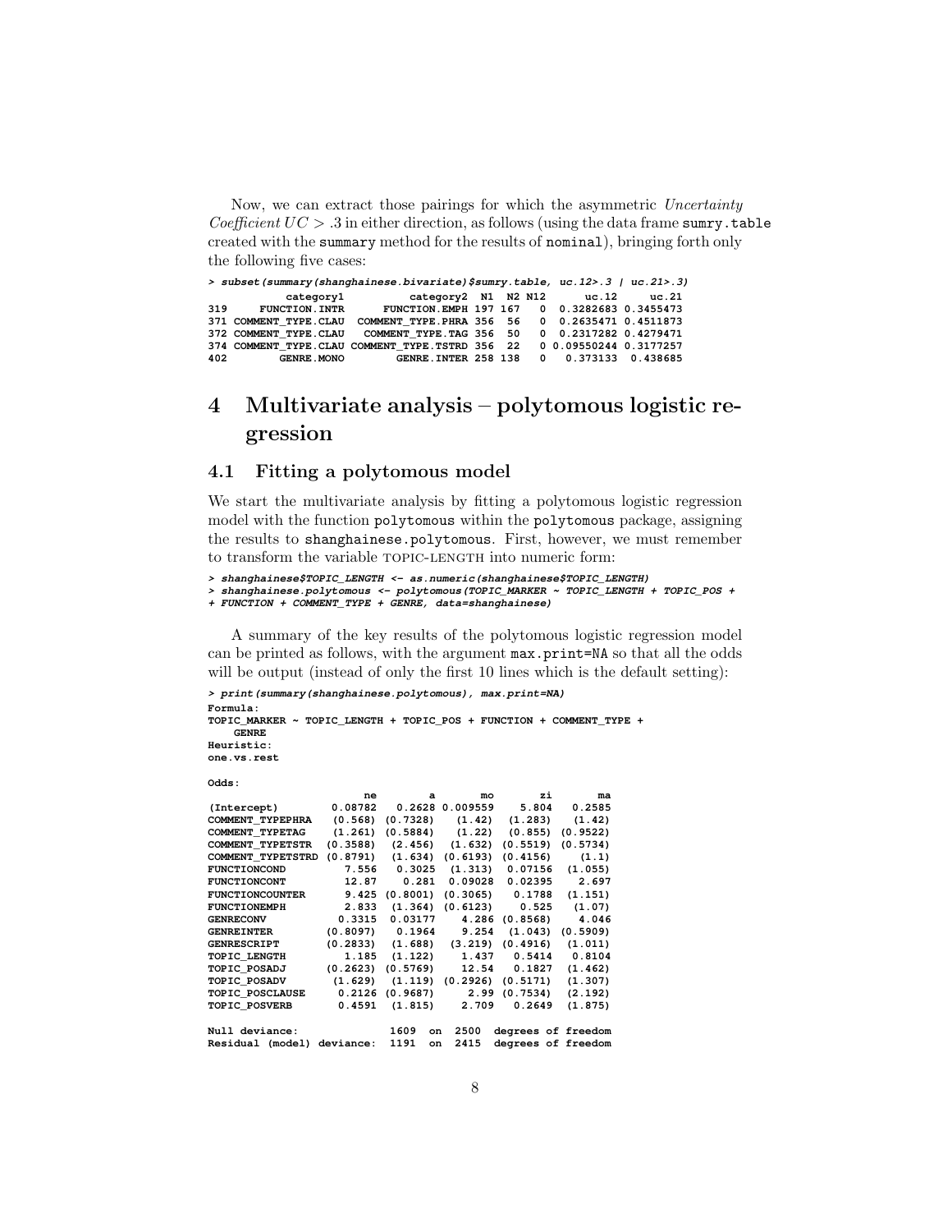Now, we can extract those pairings for which the asymmetric Uncertainty *Coefficient*  $UC > .3$  *in either direction, as follows (using the data frame sumry.table* created with the summary method for the results of nominal), bringing forth only the following five cases:

|     | > subset (summary (shanghainese.bivariate) \$sumry.table, uc.12>.3   uc.21>.3) |                                                 |  |            |                             |       |
|-----|--------------------------------------------------------------------------------|-------------------------------------------------|--|------------|-----------------------------|-------|
|     | category1                                                                      | category2 N1 N2 N12                             |  |            | uc.12                       | uc.21 |
| 319 | <b>FUNCTION.INTR</b>                                                           | FUNCTION.EMPH 197 167 0 0.3282683 0.3455473     |  |            |                             |       |
|     | 371 COMMENT TYPE.CLAU                                                          | COMMENT TYPE.PHRA 356 56                        |  |            | $0$ $0.2635471$ $0.4511873$ |       |
|     | 372 COMMENT TYPE.CLAU                                                          | COMMENT TYPE. TAG 356 50                        |  |            | $0$ $0.2317282$ $0.4279471$ |       |
|     |                                                                                | 374 COMMENT TYPE.CLAU COMMENT TYPE.TSTRD 356 22 |  |            | 0 0.09550244 0.3177257      |       |
| 402 | <b>GENRE . MONO</b>                                                            | GENRE. INTER 258 138                            |  | $^{\circ}$ | 0.373133 0.438685           |       |

# 4 Multivariate analysis – polytomous logistic regression

### 4.1 Fitting a polytomous model

We start the multivariate analysis by fitting a polytomous logistic regression model with the function polytomous within the polytomous package, assigning the results to shanghainese.polytomous. First, however, we must remember to transform the variable TOPIC-LENGTH into numeric form:

```
> shanghainese$TOPIC_LENGTH <- as.numeric(shanghainese$TOPIC_LENGTH)
> shanghainese.polytomous <- polytomous(TOPIC_MARKER ~ TOPIC_LENGTH + TOPIC_POS +
+ FUNCTION + COMMENT_TYPE + GENRE, data=shanghainese)
```
A summary of the key results of the polytomous logistic regression model can be printed as follows, with the argument max.print=NA so that all the odds will be output (instead of only the first 10 lines which is the default setting):

```
> print(summary(shanghainese.polytomous), max.print=NA)
Formula:
TOPIC_MARKER ~ TOPIC_LENGTH + TOPIC_POS + FUNCTION + COMMENT_TYPE +
   GENRE
Heuristic:
one.vs.rest
```
**Odds:**

|                            | ne       | $\mathbf{a}$        | mo                  | zi                 | ma       |
|----------------------------|----------|---------------------|---------------------|--------------------|----------|
| (Intercept)                | 0.08782  |                     | 0.2628 0.009559     | 5.804              | 0.2585   |
| COMMENT TYPEPHRA           | (0.568)  | (0.7328)            | (1.42)              | (1.283)            | (1.42)   |
| COMMENT TYPETAG            | (1.261)  | $(0.5884)$ $(1.22)$ |                     | (0.855)            | (0.9522) |
| COMMENT_TYPETSTR           | (0.3588) | (2.456)             | (1.632)             | (0.5519)           | (0.5734) |
| COMMENT TYPETSTRD          | (0.8791) | (1.634)             | (0.6193)            | (0.4156)           | (1.1)    |
| <b>FUNCTIONCOND</b>        | 7.556    | 0.3025              | (1.313)             | 0.07156            | (1.055)  |
| <b>FUNCTIONCONT</b>        | 12.87    | 0.281               | 0.09028             | 0.02395            | 2.697    |
| <b>FUNCTIONCOUNTER</b>     | 9.425    | (0.8001)            |                     | $(0.3065)$ 0.1788  | (1.151)  |
| <b>FUNCTIONEMPH</b>        | 2.833    | (1.364)             | (0.6123)            | 0.525              | (1.07)   |
| <b>GENRECONV</b>           | 0.3315   | 0.03177             | 4.286               | (0.8568)           | 4.046    |
| <b>GENREINTER</b>          | (0.8097) | 0.1964              | 9.254               | (1.043)            | (0.5909) |
| <b>GENRESCRIPT</b>         | (0.2833) |                     | $(1.688)$ $(3.219)$ | (0.4916)           | (1.011)  |
| TOPIC LENGTH               | 1.185    | (1.122)             | 1.437               | 0.5414             | 0.8104   |
| TOPIC POSADJ               | (0.2623) | (0.5769)            | 12.54               | 0.1827             | (1.462)  |
| TOPIC POSADV               | (1.629)  | (1.119)             | (0.2926)            | (0.5171)           | (1.307)  |
| TOPIC POSCLAUSE            | 0.2126   | (0.9687)            | 2.99                | (0.7534)           | (2.192)  |
| TOPIC POSVERB              | 0.4591   | (1.815)             | 2.709               | 0.2649             | (1.875)  |
| Null deviance:             |          | 1609<br>on          | 2500                | degrees of freedom |          |
| Residual (model) deviance: |          | 1191<br>on          | 2415                | degrees of freedom |          |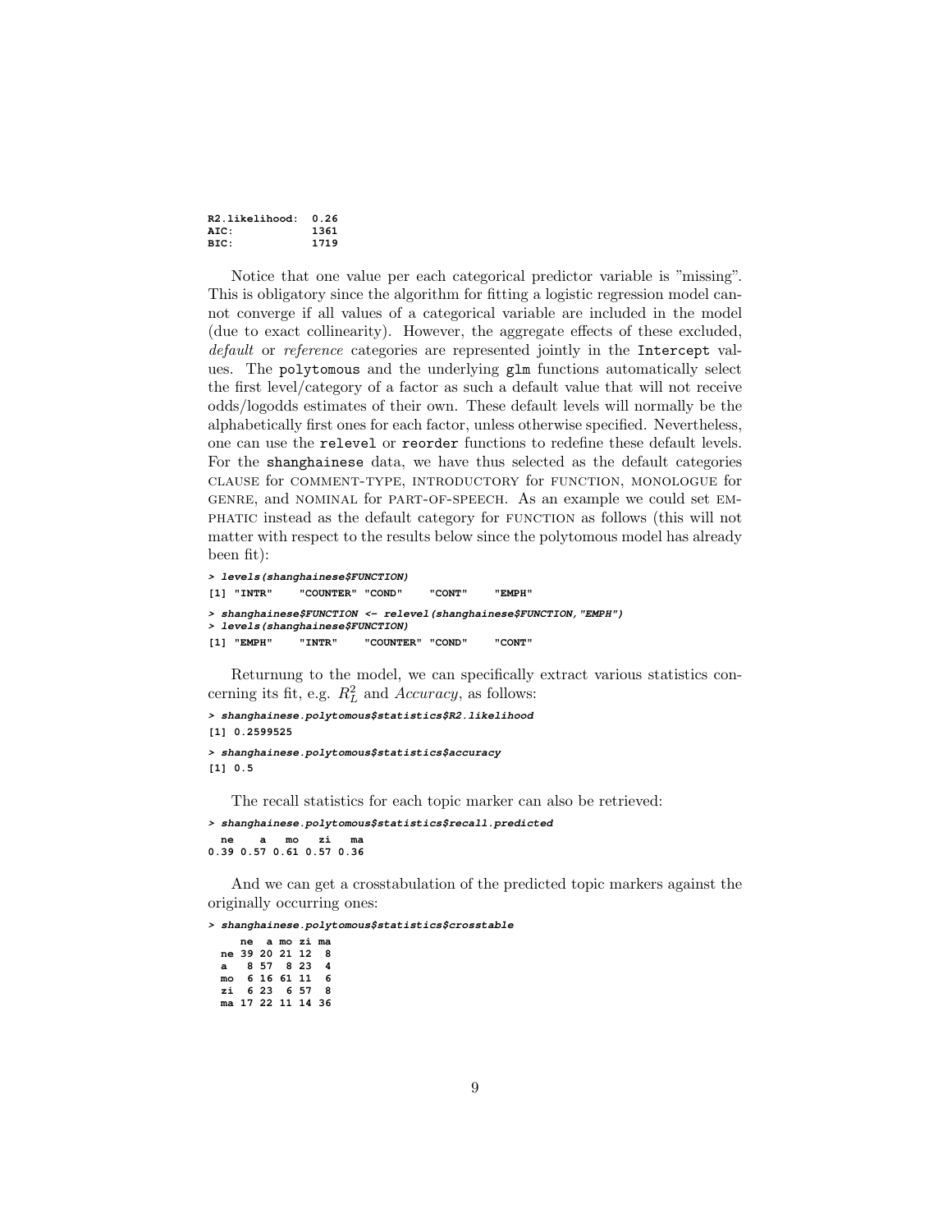| $R2.1$ ikelihood: $0.26$ |      |
|--------------------------|------|
| AIC:                     | 1361 |
| BIC:                     | 1719 |

Notice that one value per each categorical predictor variable is "missing". This is obligatory since the algorithm for fitting a logistic regression model cannot converge if all values of a categorical variable are included in the model (due to exact collinearity). However, the aggregate effects of these excluded, default or reference categories are represented jointly in the Intercept values. The polytomous and the underlying glm functions automatically select the first level/category of a factor as such a default value that will not receive odds/logodds estimates of their own. These default levels will normally be the alphabetically first ones for each factor, unless otherwise specified. Nevertheless, one can use the relevel or reorder functions to redefine these default levels. For the shanghainese data, we have thus selected as the default categories clause for comment-type, introductory for function, monologue for genre, and nominal for part-of-speech. As an example we could set emphatic instead as the default category for function as follows (this will not matter with respect to the results below since the polytomous model has already been fit):

```
> levels(shanghainese$FUNCTION)
[1] "INTR" "COUNTER" "COND" "CONT" "EMPH"
> shanghainese$FUNCTION <- relevel(shanghainese$FUNCTION,"EMPH")
> levels(shanghainese$FUNCTION)
[1] "EMPH" "INTR" "COUNTER" "COND" "CONT"
```
Returnung to the model, we can specifically extract various statistics concerning its fit, e.g.  $R_L^2$  and Accuracy, as follows:

```
> shanghainese.polytomous$statistics$R2.likelihood
[1] 0.2599525
> shanghainese.polytomous$statistics$accuracy
[1] 0.5
```
The recall statistics for each topic marker can also be retrieved:

```
> shanghainese.polytomous$statistics$recall.predicted
 ne a mo zi ma
0.39 0.57 0.61 0.57 0.36
```
And we can get a crosstabulation of the predicted topic markers against the originally occurring ones:

```
> shanghainese.polytomous$statistics$crosstable
     ne a mo zi ma
 ne 39 20 21 12 8
 a 8 57 8 23 4
  mo 6 16 61 11 6
zi 6 23 6 57 8
 ma 17 22 11 14 36
```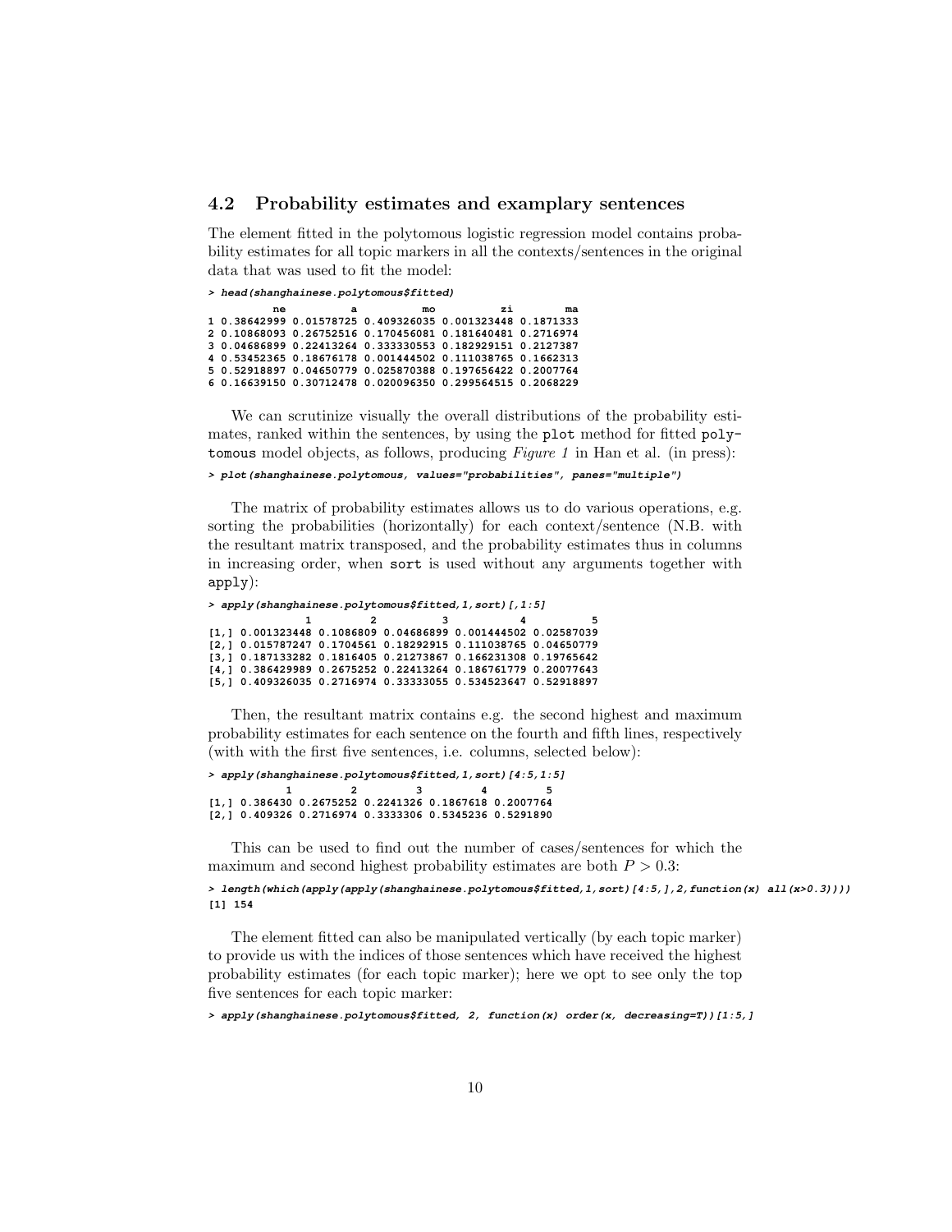#### 4.2 Probability estimates and examplary sentences

The element fitted in the polytomous logistic regression model contains probability estimates for all topic markers in all the contexts/sentences in the original data that was used to fit the model:

**> head(shanghainese.polytomous\$fitted)**

| ne | a | mo                                                        | zi | ma |
|----|---|-----------------------------------------------------------|----|----|
|    |   | 1 0.38642999 0.01578725 0.409326035 0.001323448 0.1871333 |    |    |
|    |   | 2 0.10868093 0.26752516 0.170456081 0.181640481 0.2716974 |    |    |
|    |   | 3 0.04686899 0.22413264 0.333330553 0.182929151 0.2127387 |    |    |
|    |   | 4 0.53452365 0.18676178 0.001444502 0.111038765 0.1662313 |    |    |
|    |   | 5 0.52918897 0.04650779 0.025870388 0.197656422 0.2007764 |    |    |
|    |   | 6 0.16639150 0.30712478 0.020096350 0.299564515 0.2068229 |    |    |

We can scrutinize visually the overall distributions of the probability estimates, ranked within the sentences, by using the plot method for fitted polytomous model objects, as follows, producing Figure 1 in Han et al. (in press):

#### **> plot(shanghainese.polytomous, values="probabilities", panes="multiple")**

The matrix of probability estimates allows us to do various operations, e.g. sorting the probabilities (horizontally) for each context/sentence (N.B. with the resultant matrix transposed, and the probability estimates thus in columns in increasing order, when sort is used without any arguments together with apply):

```
> apply(shanghainese.polytomous$fitted,1,sort)[,1:5]
1 2 3 4 5
[1,] 0.001323448 0.1086809 0.04686899 0.001444502 0.02587039
[2,] 0.015787247 0.1704561 0.18292915 0.111038765 0.04650779
[3,] 0.187133282 0.1816405 0.21273867 0.166231308 0.19765642
[4,] 0.386429989 0.2675252 0.22413264 0.186761779 0.20077643
[5,] 0.409326035 0.2716974 0.33333055 0.534523647 0.52918897
```
Then, the resultant matrix contains e.g. the second highest and maximum probability estimates for each sentence on the fourth and fifth lines, respectively (with with the first five sentences, i.e. columns, selected below):

```
> apply(shanghainese.polytomous$fitted,1,sort)[4:5,1:5]
1 2 3 4 5
[1,] 0.386430 0.2675252 0.2241326 0.1867618 0.2007764
[2,] 0.409326 0.2716974 0.3333306 0.5345236 0.5291890
```
This can be used to find out the number of cases/sentences for which the maximum and second highest probability estimates are both  $P > 0.3$ :

**> length(which(apply(apply(shanghainese.polytomous\$fitted,1,sort)[4:5,],2,function(x) all(x>0.3)))) [1] 154**

The element fitted can also be manipulated vertically (by each topic marker) to provide us with the indices of those sentences which have received the highest probability estimates (for each topic marker); here we opt to see only the top five sentences for each topic marker:

**> apply(shanghainese.polytomous\$fitted, 2, function(x) order(x, decreasing=T))[1:5,]**